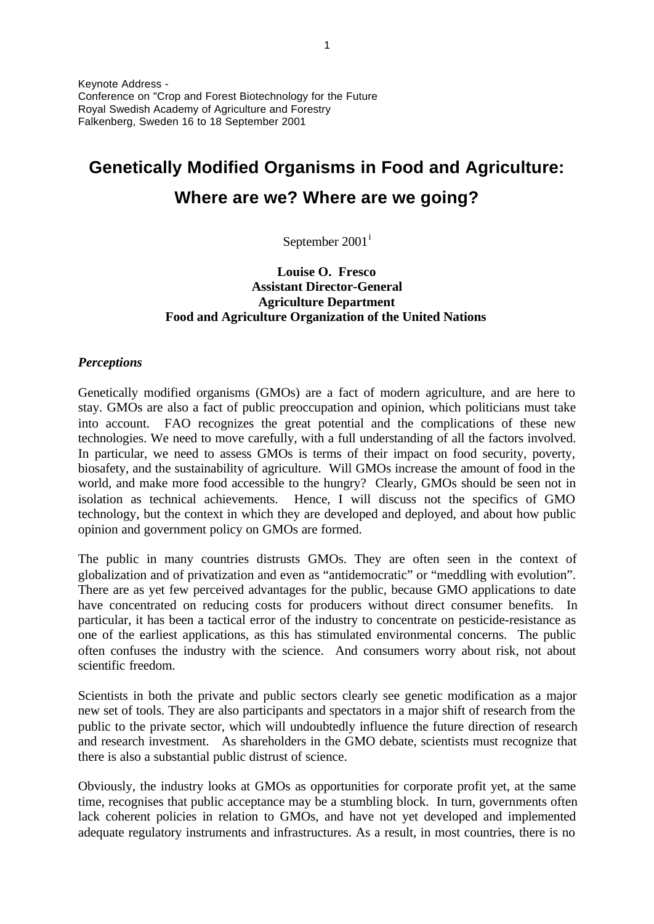Keynote Address - Conference on "Crop and Forest Biotechnology for the Future Royal Swedish Academy of Agriculture and Forestry Falkenberg, Sweden 16 to 18 September 2001

# **Genetically Modified Organisms in Food and Agriculture: Where are we? Where are we going?**

September 2001<sup>i</sup>

# **Louise O. Fresco Assistant Director-General Agriculture Department Food and Agriculture Organization of the United Nations**

## *Perceptions*

Genetically modified organisms (GMOs) are a fact of modern agriculture, and are here to stay. GMOs are also a fact of public preoccupation and opinion, which politicians must take into account. FAO recognizes the great potential and the complications of these new technologies. We need to move carefully, with a full understanding of all the factors involved. In particular, we need to assess GMOs is terms of their impact on food security, poverty, biosafety, and the sustainability of agriculture. Will GMOs increase the amount of food in the world, and make more food accessible to the hungry? Clearly, GMOs should be seen not in isolation as technical achievements. Hence, I will discuss not the specifics of GMO technology, but the context in which they are developed and deployed, and about how public opinion and government policy on GMOs are formed.

The public in many countries distrusts GMOs. They are often seen in the context of globalization and of privatization and even as "antidemocratic" or "meddling with evolution". There are as yet few perceived advantages for the public, because GMO applications to date have concentrated on reducing costs for producers without direct consumer benefits. In particular, it has been a tactical error of the industry to concentrate on pesticide-resistance as one of the earliest applications, as this has stimulated environmental concerns. The public often confuses the industry with the science. And consumers worry about risk, not about scientific freedom.

Scientists in both the private and public sectors clearly see genetic modification as a major new set of tools. They are also participants and spectators in a major shift of research from the public to the private sector, which will undoubtedly influence the future direction of research and research investment. As shareholders in the GMO debate, scientists must recognize that there is also a substantial public distrust of science.

Obviously, the industry looks at GMOs as opportunities for corporate profit yet, at the same time, recognises that public acceptance may be a stumbling block. In turn, governments often lack coherent policies in relation to GMOs, and have not yet developed and implemented adequate regulatory instruments and infrastructures. As a result, in most countries, there is no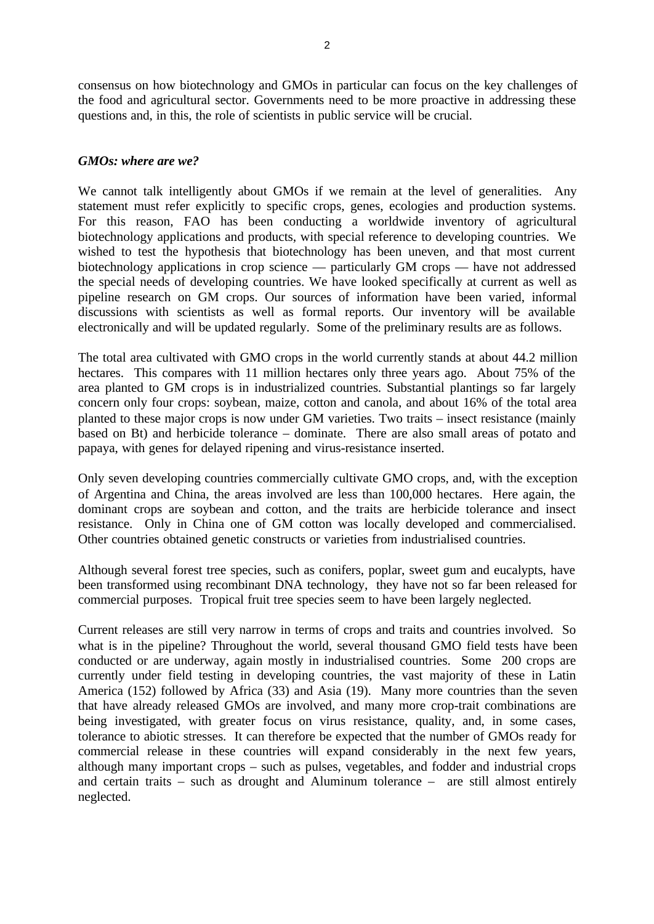consensus on how biotechnology and GMOs in particular can focus on the key challenges of the food and agricultural sector. Governments need to be more proactive in addressing these questions and, in this, the role of scientists in public service will be crucial.

## *GMOs: where are we?*

We cannot talk intelligently about GMOs if we remain at the level of generalities. Any statement must refer explicitly to specific crops, genes, ecologies and production systems. For this reason, FAO has been conducting a worldwide inventory of agricultural biotechnology applications and products, with special reference to developing countries. We wished to test the hypothesis that biotechnology has been uneven, and that most current biotechnology applications in crop science — particularly GM crops — have not addressed the special needs of developing countries. We have looked specifically at current as well as pipeline research on GM crops. Our sources of information have been varied, informal discussions with scientists as well as formal reports. Our inventory will be available electronically and will be updated regularly. Some of the preliminary results are as follows.

The total area cultivated with GMO crops in the world currently stands at about 44.2 million hectares. This compares with 11 million hectares only three years ago. About 75% of the area planted to GM crops is in industrialized countries. Substantial plantings so far largely concern only four crops: soybean, maize, cotton and canola, and about 16% of the total area planted to these major crops is now under GM varieties. Two traits – insect resistance (mainly based on Bt) and herbicide tolerance – dominate. There are also small areas of potato and papaya, with genes for delayed ripening and virus-resistance inserted.

Only seven developing countries commercially cultivate GMO crops, and, with the exception of Argentina and China, the areas involved are less than 100,000 hectares. Here again, the dominant crops are soybean and cotton, and the traits are herbicide tolerance and insect resistance. Only in China one of GM cotton was locally developed and commercialised. Other countries obtained genetic constructs or varieties from industrialised countries.

Although several forest tree species, such as conifers, poplar, sweet gum and eucalypts, have been transformed using recombinant DNA technology, they have not so far been released for commercial purposes. Tropical fruit tree species seem to have been largely neglected.

Current releases are still very narrow in terms of crops and traits and countries involved. So what is in the pipeline? Throughout the world, several thousand GMO field tests have been conducted or are underway, again mostly in industrialised countries. Some 200 crops are currently under field testing in developing countries, the vast majority of these in Latin America (152) followed by Africa (33) and Asia (19). Many more countries than the seven that have already released GMOs are involved, and many more crop-trait combinations are being investigated, with greater focus on virus resistance, quality, and, in some cases, tolerance to abiotic stresses. It can therefore be expected that the number of GMOs ready for commercial release in these countries will expand considerably in the next few years, although many important crops – such as pulses, vegetables, and fodder and industrial crops and certain traits – such as drought and Aluminum tolerance – are still almost entirely neglected.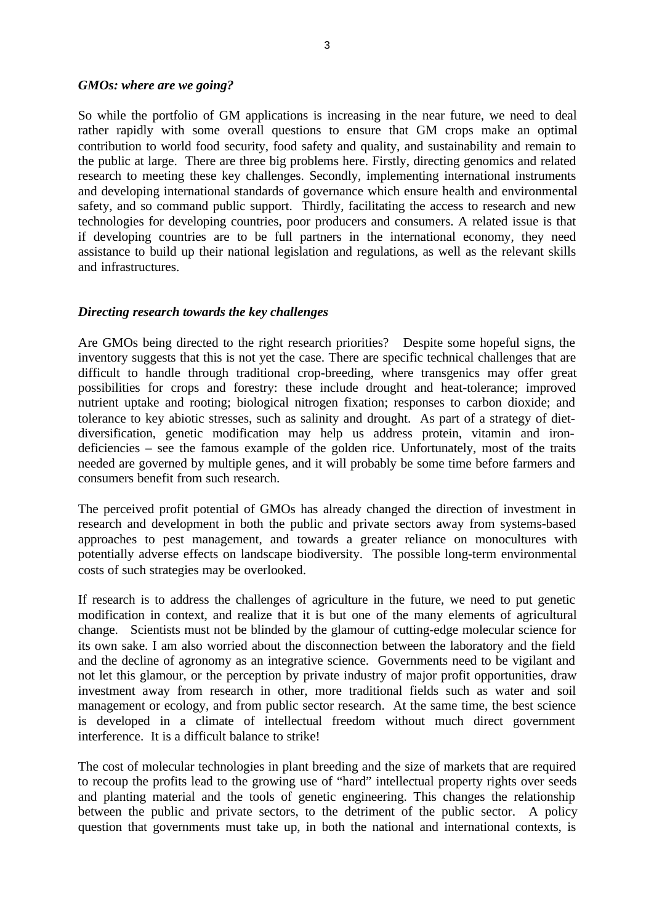#### *GMOs: where are we going?*

So while the portfolio of GM applications is increasing in the near future, we need to deal rather rapidly with some overall questions to ensure that GM crops make an optimal contribution to world food security, food safety and quality, and sustainability and remain to the public at large. There are three big problems here. Firstly, directing genomics and related research to meeting these key challenges. Secondly, implementing international instruments and developing international standards of governance which ensure health and environmental safety, and so command public support. Thirdly, facilitating the access to research and new technologies for developing countries, poor producers and consumers. A related issue is that if developing countries are to be full partners in the international economy, they need assistance to build up their national legislation and regulations, as well as the relevant skills and infrastructures.

#### *Directing research towards the key challenges*

Are GMOs being directed to the right research priorities? Despite some hopeful signs, the inventory suggests that this is not yet the case. There are specific technical challenges that are difficult to handle through traditional crop-breeding, where transgenics may offer great possibilities for crops and forestry: these include drought and heat-tolerance; improved nutrient uptake and rooting; biological nitrogen fixation; responses to carbon dioxide; and tolerance to key abiotic stresses, such as salinity and drought. As part of a strategy of dietdiversification, genetic modification may help us address protein, vitamin and irondeficiencies – see the famous example of the golden rice. Unfortunately, most of the traits needed are governed by multiple genes, and it will probably be some time before farmers and consumers benefit from such research.

The perceived profit potential of GMOs has already changed the direction of investment in research and development in both the public and private sectors away from systems-based approaches to pest management, and towards a greater reliance on monocultures with potentially adverse effects on landscape biodiversity. The possible long-term environmental costs of such strategies may be overlooked.

If research is to address the challenges of agriculture in the future, we need to put genetic modification in context, and realize that it is but one of the many elements of agricultural change. Scientists must not be blinded by the glamour of cutting-edge molecular science for its own sake. I am also worried about the disconnection between the laboratory and the field and the decline of agronomy as an integrative science. Governments need to be vigilant and not let this glamour, or the perception by private industry of major profit opportunities, draw investment away from research in other, more traditional fields such as water and soil management or ecology, and from public sector research. At the same time, the best science is developed in a climate of intellectual freedom without much direct government interference. It is a difficult balance to strike!

The cost of molecular technologies in plant breeding and the size of markets that are required to recoup the profits lead to the growing use of "hard" intellectual property rights over seeds and planting material and the tools of genetic engineering. This changes the relationship between the public and private sectors, to the detriment of the public sector. A policy question that governments must take up, in both the national and international contexts, is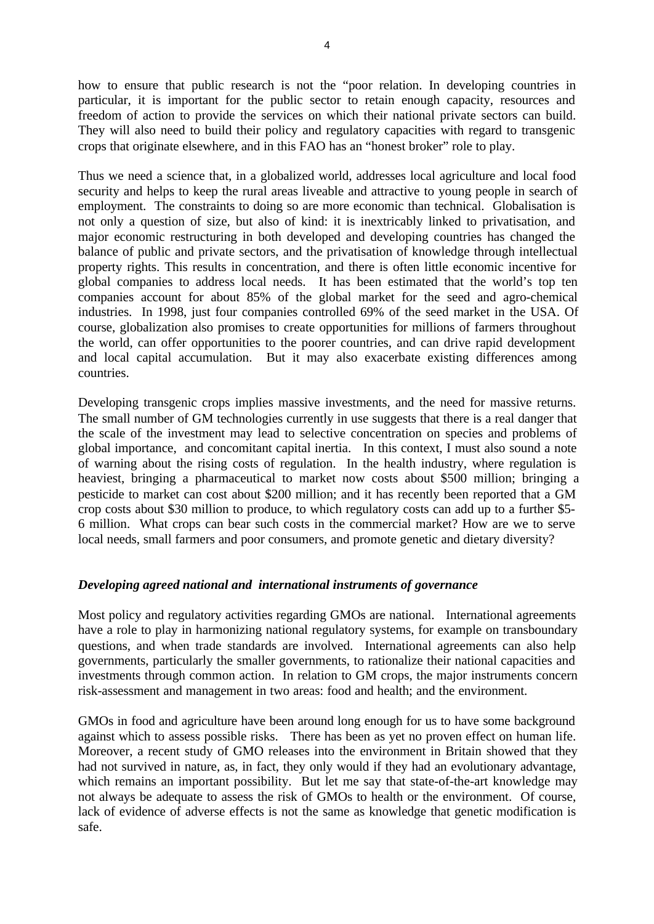how to ensure that public research is not the "poor relation. In developing countries in particular, it is important for the public sector to retain enough capacity, resources and freedom of action to provide the services on which their national private sectors can build. They will also need to build their policy and regulatory capacities with regard to transgenic crops that originate elsewhere, and in this FAO has an "honest broker" role to play.

Thus we need a science that, in a globalized world, addresses local agriculture and local food security and helps to keep the rural areas liveable and attractive to young people in search of employment. The constraints to doing so are more economic than technical. Globalisation is not only a question of size, but also of kind: it is inextricably linked to privatisation, and major economic restructuring in both developed and developing countries has changed the balance of public and private sectors, and the privatisation of knowledge through intellectual property rights. This results in concentration, and there is often little economic incentive for global companies to address local needs. It has been estimated that the world's top ten companies account for about 85% of the global market for the seed and agro-chemical industries. In 1998, just four companies controlled 69% of the seed market in the USA. Of course, globalization also promises to create opportunities for millions of farmers throughout the world, can offer opportunities to the poorer countries, and can drive rapid development and local capital accumulation. But it may also exacerbate existing differences among countries.

Developing transgenic crops implies massive investments, and the need for massive returns. The small number of GM technologies currently in use suggests that there is a real danger that the scale of the investment may lead to selective concentration on species and problems of global importance, and concomitant capital inertia. In this context, I must also sound a note of warning about the rising costs of regulation. In the health industry, where regulation is heaviest, bringing a pharmaceutical to market now costs about \$500 million; bringing a pesticide to market can cost about \$200 million; and it has recently been reported that a GM crop costs about \$30 million to produce, to which regulatory costs can add up to a further \$5- 6 million. What crops can bear such costs in the commercial market? How are we to serve local needs, small farmers and poor consumers, and promote genetic and dietary diversity?

## *Developing agreed national and international instruments of governance*

Most policy and regulatory activities regarding GMOs are national. International agreements have a role to play in harmonizing national regulatory systems, for example on transboundary questions, and when trade standards are involved. International agreements can also help governments, particularly the smaller governments, to rationalize their national capacities and investments through common action. In relation to GM crops, the major instruments concern risk-assessment and management in two areas: food and health; and the environment.

GMOs in food and agriculture have been around long enough for us to have some background against which to assess possible risks. There has been as yet no proven effect on human life. Moreover, a recent study of GMO releases into the environment in Britain showed that they had not survived in nature, as, in fact, they only would if they had an evolutionary advantage, which remains an important possibility. But let me say that state-of-the-art knowledge may not always be adequate to assess the risk of GMOs to health or the environment. Of course, lack of evidence of adverse effects is not the same as knowledge that genetic modification is safe.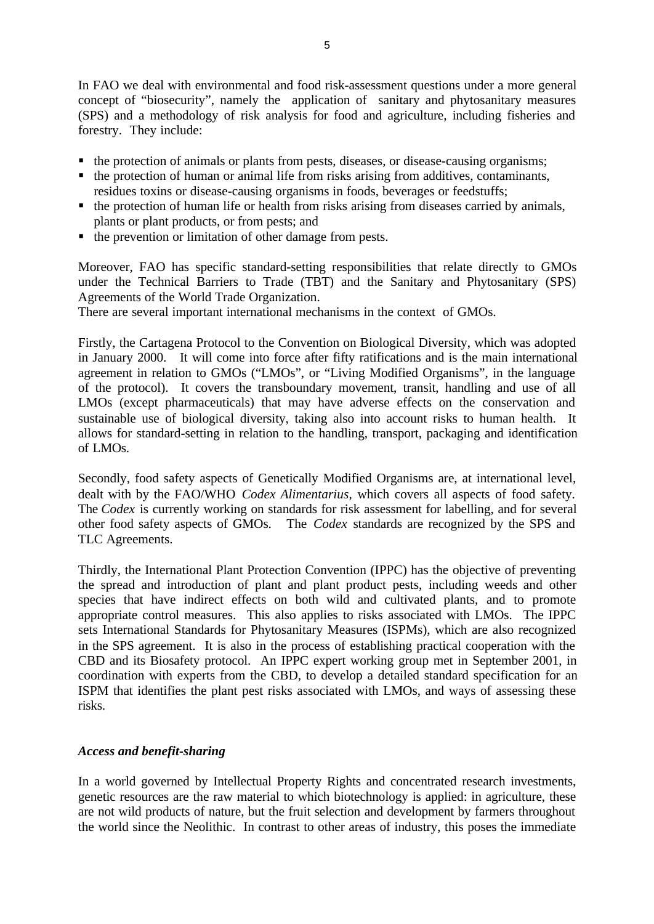In FAO we deal with environmental and food risk-assessment questions under a more general concept of "biosecurity", namely the application of sanitary and phytosanitary measures (SPS) and a methodology of risk analysis for food and agriculture, including fisheries and forestry. They include:

- the protection of animals or plants from pests, diseases, or disease-causing organisms;
- $\blacksquare$  the protection of human or animal life from risks arising from additives, contaminants, residues toxins or disease-causing organisms in foods, beverages or feedstuffs;
- $\blacksquare$  the protection of human life or health from risks arising from diseases carried by animals, plants or plant products, or from pests; and
- $\blacksquare$  the prevention or limitation of other damage from pests.

Moreover, FAO has specific standard-setting responsibilities that relate directly to GMOs under the Technical Barriers to Trade (TBT) and the Sanitary and Phytosanitary (SPS) Agreements of the World Trade Organization.

There are several important international mechanisms in the context of GMOs.

Firstly, the Cartagena Protocol to the Convention on Biological Diversity, which was adopted in January 2000. It will come into force after fifty ratifications and is the main international agreement in relation to GMOs ("LMOs", or "Living Modified Organisms", in the language of the protocol). It covers the transboundary movement, transit, handling and use of all LMOs (except pharmaceuticals) that may have adverse effects on the conservation and sustainable use of biological diversity, taking also into account risks to human health. It allows for standard-setting in relation to the handling, transport, packaging and identification of LMOs.

Secondly, food safety aspects of Genetically Modified Organisms are, at international level, dealt with by the FAO/WHO *Codex Alimentarius*, which covers all aspects of food safety. The *Codex* is currently working on standards for risk assessment for labelling, and for several other food safety aspects of GMOs. The *Codex* standards are recognized by the SPS and TLC Agreements.

Thirdly, the International Plant Protection Convention (IPPC) has the objective of preventing the spread and introduction of plant and plant product pests, including weeds and other species that have indirect effects on both wild and cultivated plants, and to promote appropriate control measures. This also applies to risks associated with LMOs. The IPPC sets International Standards for Phytosanitary Measures (ISPMs), which are also recognized in the SPS agreement. It is also in the process of establishing practical cooperation with the CBD and its Biosafety protocol. An IPPC expert working group met in September 2001, in coordination with experts from the CBD, to develop a detailed standard specification for an ISPM that identifies the plant pest risks associated with LMOs, and ways of assessing these risks.

# *Access and benefit-sharing*

In a world governed by Intellectual Property Rights and concentrated research investments, genetic resources are the raw material to which biotechnology is applied: in agriculture, these are not wild products of nature, but the fruit selection and development by farmers throughout the world since the Neolithic. In contrast to other areas of industry, this poses the immediate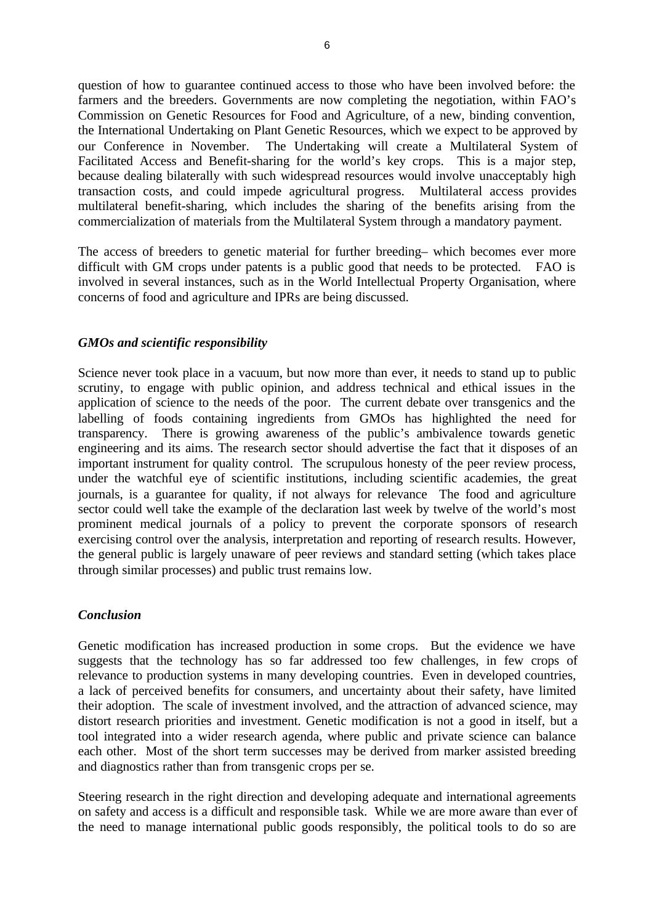question of how to guarantee continued access to those who have been involved before: the farmers and the breeders. Governments are now completing the negotiation, within FAO's Commission on Genetic Resources for Food and Agriculture, of a new, binding convention, the International Undertaking on Plant Genetic Resources, which we expect to be approved by our Conference in November. The Undertaking will create a Multilateral System of Facilitated Access and Benefit-sharing for the world's key crops. This is a major step, because dealing bilaterally with such widespread resources would involve unacceptably high transaction costs, and could impede agricultural progress. Multilateral access provides multilateral benefit-sharing, which includes the sharing of the benefits arising from the commercialization of materials from the Multilateral System through a mandatory payment.

The access of breeders to genetic material for further breeding– which becomes ever more difficult with GM crops under patents is a public good that needs to be protected. FAO is involved in several instances, such as in the World Intellectual Property Organisation, where concerns of food and agriculture and IPRs are being discussed.

# *GMOs and scientific responsibility*

Science never took place in a vacuum, but now more than ever, it needs to stand up to public scrutiny, to engage with public opinion, and address technical and ethical issues in the application of science to the needs of the poor. The current debate over transgenics and the labelling of foods containing ingredients from GMOs has highlighted the need for transparency. There is growing awareness of the public's ambivalence towards genetic engineering and its aims. The research sector should advertise the fact that it disposes of an important instrument for quality control. The scrupulous honesty of the peer review process, under the watchful eye of scientific institutions, including scientific academies, the great journals, is a guarantee for quality, if not always for relevance The food and agriculture sector could well take the example of the declaration last week by twelve of the world's most prominent medical journals of a policy to prevent the corporate sponsors of research exercising control over the analysis, interpretation and reporting of research results. However, the general public is largely unaware of peer reviews and standard setting (which takes place through similar processes) and public trust remains low.

## *Conclusion*

Genetic modification has increased production in some crops. But the evidence we have suggests that the technology has so far addressed too few challenges, in few crops of relevance to production systems in many developing countries. Even in developed countries, a lack of perceived benefits for consumers, and uncertainty about their safety, have limited their adoption. The scale of investment involved, and the attraction of advanced science, may distort research priorities and investment. Genetic modification is not a good in itself, but a tool integrated into a wider research agenda, where public and private science can balance each other. Most of the short term successes may be derived from marker assisted breeding and diagnostics rather than from transgenic crops per se.

Steering research in the right direction and developing adequate and international agreements on safety and access is a difficult and responsible task. While we are more aware than ever of the need to manage international public goods responsibly, the political tools to do so are